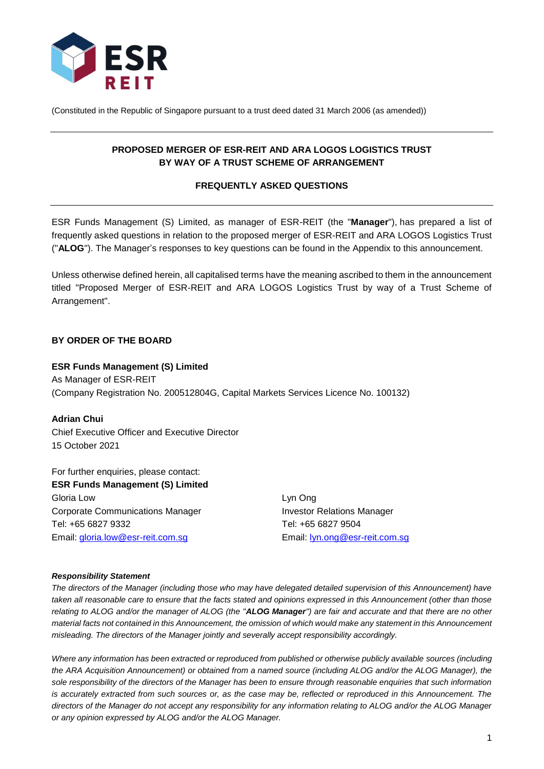

(Constituted in the Republic of Singapore pursuant to a trust deed dated 31 March 2006 (as amended))

# **PROPOSED MERGER OF ESR-REIT AND ARA LOGOS LOGISTICS TRUST BY WAY OF A TRUST SCHEME OF ARRANGEMENT**

## **FREQUENTLY ASKED QUESTIONS**

ESR Funds Management (S) Limited, as manager of ESR-REIT (the "**Manager**"), has prepared a list of frequently asked questions in relation to the proposed merger of ESR-REIT and ARA LOGOS Logistics Trust ("**ALOG**"). The Manager's responses to key questions can be found in the Appendix to this announcement.

Unless otherwise defined herein, all capitalised terms have the meaning ascribed to them in the announcement titled "Proposed Merger of ESR-REIT and ARA LOGOS Logistics Trust by way of a Trust Scheme of Arrangement".

### **BY ORDER OF THE BOARD**

### **ESR Funds Management (S) Limited**

As Manager of ESR-REIT (Company Registration No. 200512804G, Capital Markets Services Licence No. 100132)

#### **Adrian Chui**

Chief Executive Officer and Executive Director 15 October 2021

For further enquiries, please contact: **ESR Funds Management (S) Limited** Gloria Low Lyn Ong Corporate Communications Manager **Investor Relations Manager** Tel: +65 6827 9332 Tel: +65 6827 9504 Email: [gloria.low@esr-reit.com.sg](mailto:gloria.low@esr-reit.com.sg) Email: [lyn.ong@esr-reit.com.sg](mailto:lyn.ong@esr-reit.com.sg)

#### *Responsibility Statement*

*The directors of the Manager (including those who may have delegated detailed supervision of this Announcement) have taken all reasonable care to ensure that the facts stated and opinions expressed in this Announcement (other than those relating to ALOG and/or the manager of ALOG (the "ALOG Manager") are fair and accurate and that there are no other material facts not contained in this Announcement, the omission of which would make any statement in this Announcement misleading. The directors of the Manager jointly and severally accept responsibility accordingly.*

*Where any information has been extracted or reproduced from published or otherwise publicly available sources (including the ARA Acquisition Announcement) or obtained from a named source (including ALOG and/or the ALOG Manager), the sole responsibility of the directors of the Manager has been to ensure through reasonable enquiries that such information is accurately extracted from such sources or, as the case may be, reflected or reproduced in this Announcement. The directors of the Manager do not accept any responsibility for any information relating to ALOG and/or the ALOG Manager or any opinion expressed by ALOG and/or the ALOG Manager.*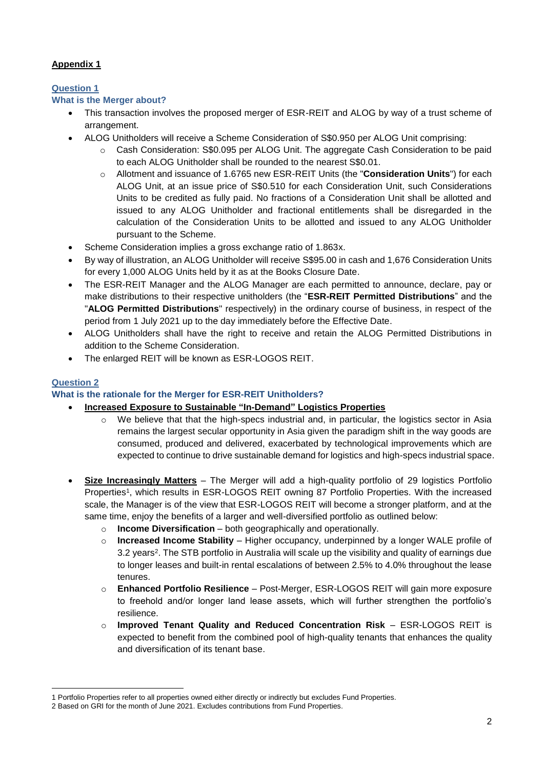# **Appendix 1**

# **Question 1**

# **What is the Merger about?**

- This transaction involves the proposed merger of ESR-REIT and ALOG by way of a trust scheme of arrangement.
- ALOG Unitholders will receive a Scheme Consideration of S\$0.950 per ALOG Unit comprising:
	- Cash Consideration: S\$0.095 per ALOG Unit. The aggregate Cash Consideration to be paid to each ALOG Unitholder shall be rounded to the nearest S\$0.01.
	- o Allotment and issuance of 1.6765 new ESR-REIT Units (the "**Consideration Units**") for each ALOG Unit, at an issue price of S\$0.510 for each Consideration Unit, such Considerations Units to be credited as fully paid. No fractions of a Consideration Unit shall be allotted and issued to any ALOG Unitholder and fractional entitlements shall be disregarded in the calculation of the Consideration Units to be allotted and issued to any ALOG Unitholder pursuant to the Scheme.
- Scheme Consideration implies a gross exchange ratio of 1.863x.
- By way of illustration, an ALOG Unitholder will receive S\$95.00 in cash and 1,676 Consideration Units for every 1,000 ALOG Units held by it as at the Books Closure Date.
- The ESR-REIT Manager and the ALOG Manager are each permitted to announce, declare, pay or make distributions to their respective unitholders (the "**ESR-REIT Permitted Distributions**" and the "**ALOG Permitted Distributions**" respectively) in the ordinary course of business, in respect of the period from 1 July 2021 up to the day immediately before the Effective Date.
- ALOG Unitholders shall have the right to receive and retain the ALOG Permitted Distributions in addition to the Scheme Consideration.
- The enlarged REIT will be known as ESR-LOGOS REIT.

# **Question 2**

<u>.</u>

# **What is the rationale for the Merger for ESR-REIT Unitholders?**

- **Increased Exposure to Sustainable "In-Demand" Logistics Properties**
	- We believe that that the high-specs industrial and, in particular, the logistics sector in Asia remains the largest secular opportunity in Asia given the paradigm shift in the way goods are consumed, produced and delivered, exacerbated by technological improvements which are expected to continue to drive sustainable demand for logistics and high-specs industrial space.
- **Size Increasingly Matters** The Merger will add a high-quality portfolio of 29 logistics Portfolio Properties<sup>1</sup>, which results in ESR-LOGOS REIT owning 87 Portfolio Properties. With the increased scale, the Manager is of the view that ESR-LOGOS REIT will become a stronger platform, and at the same time, enjoy the benefits of a larger and well-diversified portfolio as outlined below:
	- o **Income Diversification** both geographically and operationally.
	- o **Increased Income Stability**  Higher occupancy, underpinned by a longer WALE profile of 3.2 years<sup>2</sup>. The STB portfolio in Australia will scale up the visibility and quality of earnings due to longer leases and built-in rental escalations of between 2.5% to 4.0% throughout the lease tenures.
	- o **Enhanced Portfolio Resilience** Post-Merger, ESR-LOGOS REIT will gain more exposure to freehold and/or longer land lease assets, which will further strengthen the portfolio's resilience.
	- o **Improved Tenant Quality and Reduced Concentration Risk**  ESR-LOGOS REIT is expected to benefit from the combined pool of high-quality tenants that enhances the quality and diversification of its tenant base.

<sup>1</sup> Portfolio Properties refer to all properties owned either directly or indirectly but excludes Fund Properties.

<sup>2</sup> Based on GRI for the month of June 2021. Excludes contributions from Fund Properties.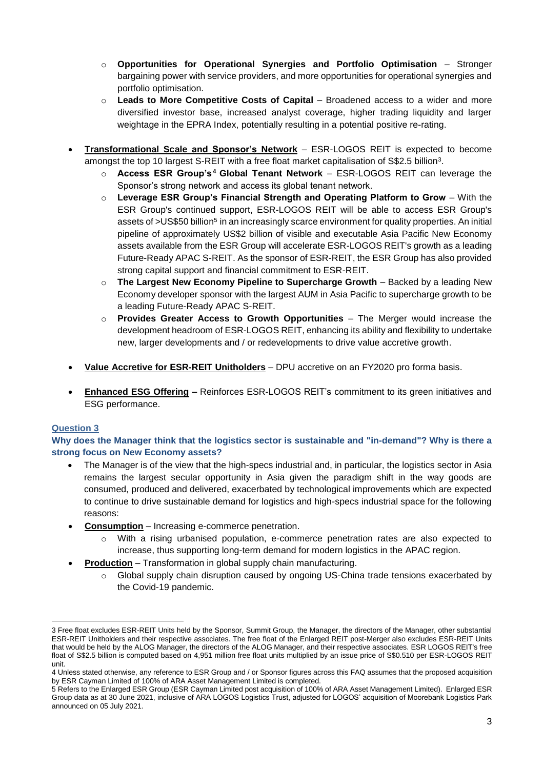- o **Opportunities for Operational Synergies and Portfolio Optimisation** Stronger bargaining power with service providers, and more opportunities for operational synergies and portfolio optimisation.
- o **Leads to More Competitive Costs of Capital** Broadened access to a wider and more diversified investor base, increased analyst coverage, higher trading liquidity and larger weightage in the EPRA Index, potentially resulting in a potential positive re-rating.
- **Transformational Scale and Sponsor's Network** ESR-LOGOS REIT is expected to become amongst the top 10 largest S-REIT with a free float market capitalisation of S\$2.5 billion<sup>3</sup> .
	- o **Access ESR Group's<sup>4</sup> Global Tenant Network** ESR-LOGOS REIT can leverage the Sponsor's strong network and access its global tenant network.
	- o **Leverage ESR Group's Financial Strength and Operating Platform to Grow**  With the ESR Group's continued support, ESR-LOGOS REIT will be able to access ESR Group's assets of >US\$50 billion<sup>5</sup> in an increasingly scarce environment for quality properties. An initial pipeline of approximately US\$2 billion of visible and executable Asia Pacific New Economy assets available from the ESR Group will accelerate ESR-LOGOS REIT's growth as a leading Future-Ready APAC S-REIT. As the sponsor of ESR-REIT, the ESR Group has also provided strong capital support and financial commitment to ESR-REIT.
	- o **The Largest New Economy Pipeline to Supercharge Growth** Backed by a leading New Economy developer sponsor with the largest AUM in Asia Pacific to supercharge growth to be a leading Future-Ready APAC S-REIT.
	- o **Provides Greater Access to Growth Opportunities**  The Merger would increase the development headroom of ESR-LOGOS REIT, enhancing its ability and flexibility to undertake new, larger developments and / or redevelopments to drive value accretive growth.
- **Value Accretive for ESR-REIT Unitholders** DPU accretive on an FY2020 pro forma basis.
- **Enhanced ESG Offering –** Reinforces ESR-LOGOS REIT's commitment to its green initiatives and ESG performance.

# **Question 3**

**Why does the Manager think that the logistics sector is sustainable and "in-demand"? Why is there a strong focus on New Economy assets?**

- The Manager is of the view that the high-specs industrial and, in particular, the logistics sector in Asia remains the largest secular opportunity in Asia given the paradigm shift in the way goods are consumed, produced and delivered, exacerbated by technological improvements which are expected to continue to drive sustainable demand for logistics and high-specs industrial space for the following reasons:
- **Consumption** Increasing e-commerce penetration.
	- o With a rising urbanised population, e-commerce penetration rates are also expected to increase, thus supporting long-term demand for modern logistics in the APAC region.
- **Production** Transformation in global supply chain manufacturing.
	- o Global supply chain disruption caused by ongoing US-China trade tensions exacerbated by the Covid-19 pandemic.

<sup>&</sup>lt;u>.</u> 3 Free float excludes ESR-REIT Units held by the Sponsor, Summit Group, the Manager, the directors of the Manager, other substantial ESR-REIT Unitholders and their respective associates. The free float of the Enlarged REIT post-Merger also excludes ESR-REIT Units that would be held by the ALOG Manager, the directors of the ALOG Manager, and their respective associates. ESR LOGOS REIT's free float of S\$2.5 billion is computed based on 4,951 million free float units multiplied by an issue price of S\$0.510 per ESR-LOGOS REIT unit.

<sup>4</sup> Unless stated otherwise, any reference to ESR Group and / or Sponsor figures across this FAQ assumes that the proposed acquisition by ESR Cayman Limited of 100% of ARA Asset Management Limited is completed.

<sup>5</sup> Refers to the Enlarged ESR Group (ESR Cayman Limited post acquisition of 100% of ARA Asset Management Limited). Enlarged ESR Group data as at 30 June 2021, inclusive of ARA LOGOS Logistics Trust, adjusted for LOGOS' acquisition of Moorebank Logistics Park announced on 05 July 2021.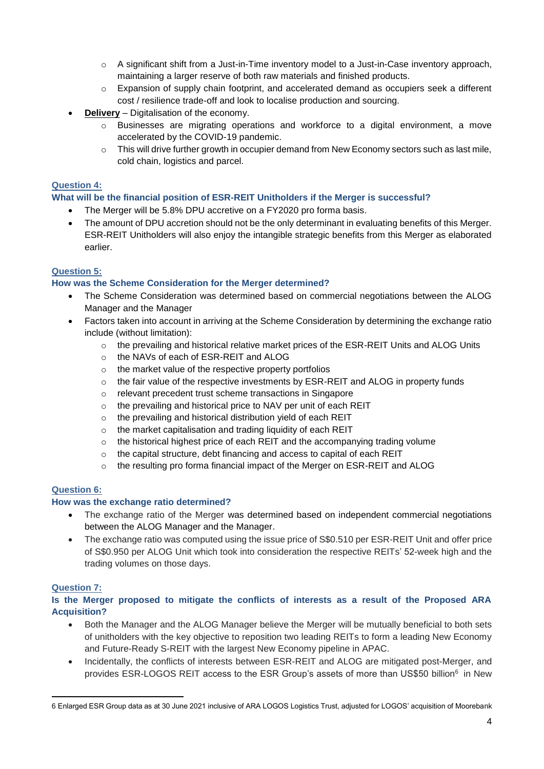- $\circ$  A significant shift from a Just-in-Time inventory model to a Just-in-Case inventory approach, maintaining a larger reserve of both raw materials and finished products.
- $\circ$  Expansion of supply chain footprint, and accelerated demand as occupiers seek a different cost / resilience trade-off and look to localise production and sourcing.
- **Delivery** Digitalisation of the economy.
	- $\circ$  Businesses are migrating operations and workforce to a digital environment, a move accelerated by the COVID-19 pandemic.
	- $\circ$  This will drive further growth in occupier demand from New Economy sectors such as last mile, cold chain, logistics and parcel.

## **Question 4:**

## **What will be the financial position of ESR-REIT Unitholders if the Merger is successful?**

- The Merger will be 5.8% DPU accretive on a FY2020 pro forma basis.
- The amount of DPU accretion should not be the only determinant in evaluating benefits of this Merger. ESR-REIT Unitholders will also enjoy the intangible strategic benefits from this Merger as elaborated earlier.

### **Question 5:**

## **How was the Scheme Consideration for the Merger determined?**

- The Scheme Consideration was determined based on commercial negotiations between the ALOG Manager and the Manager
- Factors taken into account in arriving at the Scheme Consideration by determining the exchange ratio include (without limitation):
	- $\circ$  the prevailing and historical relative market prices of the ESR-REIT Units and ALOG Units
	- o the NAVs of each of ESR-REIT and ALOG
	- o the market value of the respective property portfolios
	- $\circ$  the fair value of the respective investments by ESR-REIT and ALOG in property funds
	- o relevant precedent trust scheme transactions in Singapore
	- o the prevailing and historical price to NAV per unit of each REIT
	- o the prevailing and historical distribution yield of each REIT
	- o the market capitalisation and trading liquidity of each REIT
	- $\circ$  the historical highest price of each REIT and the accompanying trading volume
	- o the capital structure, debt financing and access to capital of each REIT
	- $\circ$  the resulting pro forma financial impact of the Merger on ESR-REIT and ALOG

# **Question 6:**

### **How was the exchange ratio determined?**

- The exchange ratio of the Merger was determined based on independent commercial negotiations between the ALOG Manager and the Manager.
- The exchange ratio was computed using the issue price of S\$0.510 per ESR-REIT Unit and offer price of S\$0.950 per ALOG Unit which took into consideration the respective REITs' 52-week high and the trading volumes on those days.

# **Question 7:**

## **Is the Merger proposed to mitigate the conflicts of interests as a result of the Proposed ARA Acquisition?**

- Both the Manager and the ALOG Manager believe the Merger will be mutually beneficial to both sets of unitholders with the key objective to reposition two leading REITs to form a leading New Economy and Future-Ready S-REIT with the largest New Economy pipeline in APAC.
- Incidentally, the conflicts of interests between ESR-REIT and ALOG are mitigated post-Merger, and provides ESR-LOGOS REIT access to the ESR Group's assets of more than US\$50 billion<sup>6</sup> in New

<sup>1</sup> 6 Enlarged ESR Group data as at 30 June 2021 inclusive of ARA LOGOS Logistics Trust, adjusted for LOGOS' acquisition of Moorebank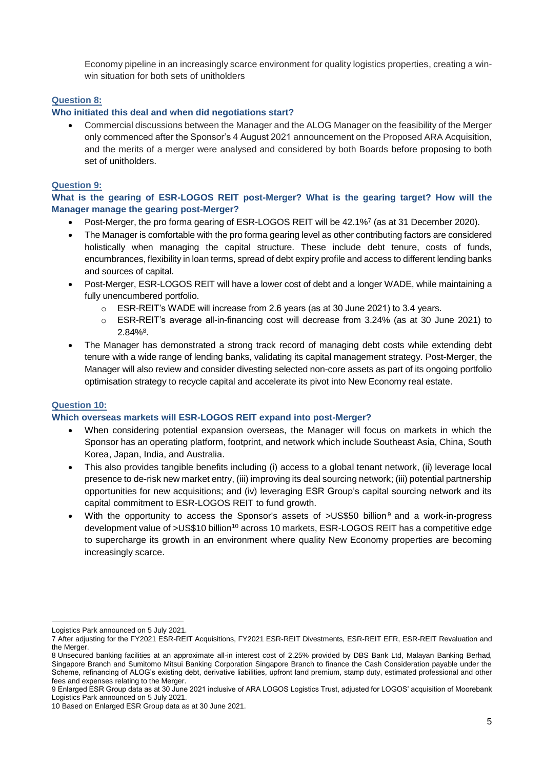Economy pipeline in an increasingly scarce environment for quality logistics properties, creating a winwin situation for both sets of unitholders

### **Question 8:**

### **Who initiated this deal and when did negotiations start?**

 Commercial discussions between the Manager and the ALOG Manager on the feasibility of the Merger only commenced after the Sponsor's 4 August 2021 announcement on the Proposed ARA Acquisition, and the merits of a merger were analysed and considered by both Boards before proposing to both set of unitholders.

### **Question 9:**

**What is the gearing of ESR-LOGOS REIT post-Merger? What is the gearing target? How will the Manager manage the gearing post-Merger?**

- Post-Merger, the pro forma gearing of ESR-LOGOS REIT will be 42.1%<sup>7</sup> (as at 31 December 2020).
- The Manager is comfortable with the pro forma gearing level as other contributing factors are considered holistically when managing the capital structure. These include debt tenure, costs of funds, encumbrances, flexibility in loan terms, spread of debt expiry profile and access to different lending banks and sources of capital.
- Post-Merger, ESR-LOGOS REIT will have a lower cost of debt and a longer WADE, while maintaining a fully unencumbered portfolio.
	- o ESR-REIT's WADE will increase from 2.6 years (as at 30 June 2021) to 3.4 years.
	- $\circ$  ESR-REIT's average all-in-financing cost will decrease from 3.24% (as at 30 June 2021) to  $2.84\%$ <sup>8</sup>.
- The Manager has demonstrated a strong track record of managing debt costs while extending debt tenure with a wide range of lending banks, validating its capital management strategy. Post-Merger, the Manager will also review and consider divesting selected non-core assets as part of its ongoing portfolio optimisation strategy to recycle capital and accelerate its pivot into New Economy real estate.

### **Question 10:**

<u>.</u>

### **Which overseas markets will ESR-LOGOS REIT expand into post-Merger?**

- When considering potential expansion overseas, the Manager will focus on markets in which the Sponsor has an operating platform, footprint, and network which include Southeast Asia, China, South Korea, Japan, India, and Australia.
- This also provides tangible benefits including (i) access to a global tenant network, (ii) leverage local presence to de-risk new market entry, (iii) improving its deal sourcing network; (iii) potential partnership opportunities for new acquisitions; and (iv) leveraging ESR Group's capital sourcing network and its capital commitment to ESR-LOGOS REIT to fund growth.
- With the opportunity to access the Sponsor's assets of  $>$ US\$50 billion<sup>9</sup> and a work-in-progress development value of >US\$10 billion<sup>10</sup> across 10 markets, ESR-LOGOS REIT has a competitive edge to supercharge its growth in an environment where quality New Economy properties are becoming increasingly scarce.

Logistics Park announced on 5 July 2021.

<sup>7</sup> After adjusting for the FY2021 ESR-REIT Acquisitions, FY2021 ESR-REIT Divestments, ESR-REIT EFR, ESR-REIT Revaluation and the Merger.

<sup>8</sup> Unsecured banking facilities at an approximate all-in interest cost of 2.25% provided by DBS Bank Ltd, Malayan Banking Berhad, Singapore Branch and Sumitomo Mitsui Banking Corporation Singapore Branch to finance the Cash Consideration payable under the Scheme, refinancing of ALOG's existing debt, derivative liabilities, upfront land premium, stamp duty, estimated professional and other fees and expenses relating to the Merger.

<sup>9</sup> Enlarged ESR Group data as at 30 June 2021 inclusive of ARA LOGOS Logistics Trust, adjusted for LOGOS' acquisition of Moorebank Logistics Park announced on 5 July 2021.

<sup>10</sup> Based on Enlarged ESR Group data as at 30 June 2021.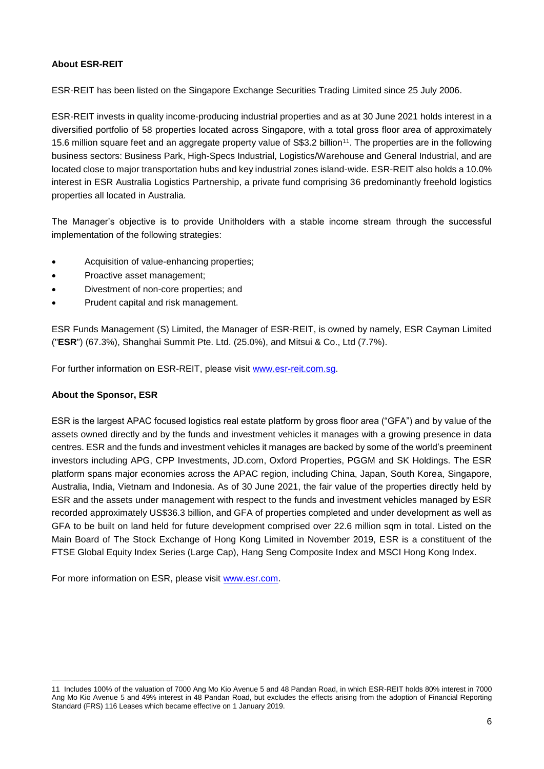## **About ESR-REIT**

ESR-REIT has been listed on the Singapore Exchange Securities Trading Limited since 25 July 2006.

ESR-REIT invests in quality income-producing industrial properties and as at 30 June 2021 holds interest in a diversified portfolio of 58 properties located across Singapore, with a total gross floor area of approximately 15.6 million square feet and an aggregate property value of S\$3.2 billion<sup>11</sup>. The properties are in the following business sectors: Business Park, High-Specs Industrial, Logistics/Warehouse and General Industrial, and are located close to major transportation hubs and key industrial zones island-wide. ESR-REIT also holds a 10.0% interest in ESR Australia Logistics Partnership, a private fund comprising 36 predominantly freehold logistics properties all located in Australia.

The Manager's objective is to provide Unitholders with a stable income stream through the successful implementation of the following strategies:

- Acquisition of value-enhancing properties;
- Proactive asset management;
- Divestment of non-core properties; and
- Prudent capital and risk management.

ESR Funds Management (S) Limited, the Manager of ESR-REIT, is owned by namely, ESR Cayman Limited ("**ESR**") (67.3%), Shanghai Summit Pte. Ltd. (25.0%), and Mitsui & Co., Ltd (7.7%).

For further information on ESR-REIT, please visit [www.esr-reit.com.sg.](http://www.esr-reit.com.sg/)

### **About the Sponsor, ESR**

ESR is the largest APAC focused logistics real estate platform by gross floor area ("GFA") and by value of the assets owned directly and by the funds and investment vehicles it manages with a growing presence in data centres. ESR and the funds and investment vehicles it manages are backed by some of the world's preeminent investors including APG, CPP Investments, JD.com, Oxford Properties, PGGM and SK Holdings. The ESR platform spans major economies across the APAC region, including China, Japan, South Korea, Singapore, Australia, India, Vietnam and Indonesia. As of 30 June 2021, the fair value of the properties directly held by ESR and the assets under management with respect to the funds and investment vehicles managed by ESR recorded approximately US\$36.3 billion, and GFA of properties completed and under development as well as GFA to be built on land held for future development comprised over 22.6 million sqm in total. Listed on the Main Board of The Stock Exchange of Hong Kong Limited in November 2019, ESR is a constituent of the FTSE Global Equity Index Series (Large Cap), Hang Seng Composite Index and MSCI Hong Kong Index.

For more information on ESR, please visit [www.esr.com.](https://apc01.safelinks.protection.outlook.com/?url=http%3A%2F%2Fwww.esr.com&data=02%7C01%7Cgloria.low%40esr-reit.com.sg%7Cb18ed7da682643de8b7008d766916f05%7C6ed733c0622d401d8f49b2984c7d765f%7C0%7C0%7C637090647129612986&sdata=hiUu8gk6thHcFkbiXEp08i9y2Ux64on2c0ivRFvmSek%3D&reserved=0)

<sup>1</sup> 11 Includes 100% of the valuation of 7000 Ang Mo Kio Avenue 5 and 48 Pandan Road, in which ESR-REIT holds 80% interest in 7000 Ang Mo Kio Avenue 5 and 49% interest in 48 Pandan Road, but excludes the effects arising from the adoption of Financial Reporting Standard (FRS) 116 Leases which became effective on 1 January 2019.